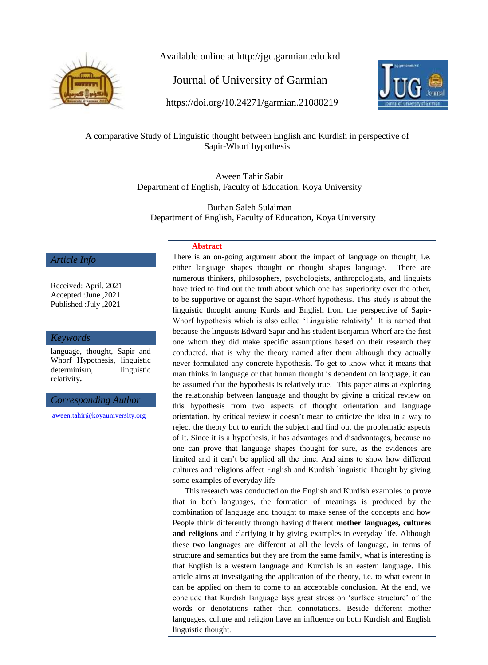

Available online at http://jgu.garmian.edu.krd

Journal of University of Garmian

https://doi.org/10.24271/garmian.21080219



A comparative Study of Linguistic thought between English and Kurdish in perspective of Sapir-Whorf hypothesis

> Aween Tahir Sabir Department of English, Faculty of Education, Koya University

Burhan Saleh Sulaiman Department of English, Faculty of Education, Koya University

### *Article Info*

Received: April, 2021 Accepted :June ,2021 Published :July ,2021

### *Keywords*

language, thought, Sapir and Whorf Hypothesis, linguistic determinism, linguistic relativity**.**

*Corresponding Author*

[aween.tahir@koyauniversity.org](mailto:aween.tahir@koyauniversity.org)

### **Abstract**

There is an on-going argument about the impact of language on thought, i.e. either language shapes thought or thought shapes language. There are numerous thinkers, philosophers, psychologists, anthropologists, and linguists have tried to find out the truth about which one has superiority over the other, to be supportive or against the Sapir-Whorf hypothesis. This study is about the linguistic thought among Kurds and English from the perspective of Sapir-Whorf hypothesis which is also called "Linguistic relativity". It is named that because the linguists Edward Sapir and his student Benjamin Whorf are the first one whom they did make specific assumptions based on their research they conducted, that is why the theory named after them although they actually never formulated any concrete hypothesis. To get to know what it means that man thinks in language or that human thought is dependent on language, it can be assumed that the hypothesis is relatively true. This paper aims at exploring the relationship between language and thought by giving a critical review on this hypothesis from two aspects of thought orientation and language orientation, by critical review it doesn"t mean to criticize the idea in a way to reject the theory but to enrich the subject and find out the problematic aspects of it. Since it is a hypothesis, it has advantages and disadvantages, because no one can prove that language shapes thought for sure, as the evidences are limited and it can"t be applied all the time. And aims to show how different cultures and religions affect English and Kurdish linguistic Thought by giving some examples of everyday life

 This research was conducted on the English and Kurdish examples to prove that in both languages, the formation of meanings is produced by the combination of language and thought to make sense of the concepts and how People think differently through having different **mother languages, cultures and religions** and clarifying it by giving examples in everyday life. Although these two languages are different at all the levels of language, in terms of structure and semantics but they are from the same family, what is interesting is that English is a western language and Kurdish is an eastern language. This article aims at investigating the application of the theory, i.e. to what extent in can be applied on them to come to an acceptable conclusion. At the end, we conclude that Kurdish language lays great stress on "surface structure" of the words or denotations rather than connotations. Beside different mother languages, culture and religion have an influence on both Kurdish and English linguistic thought.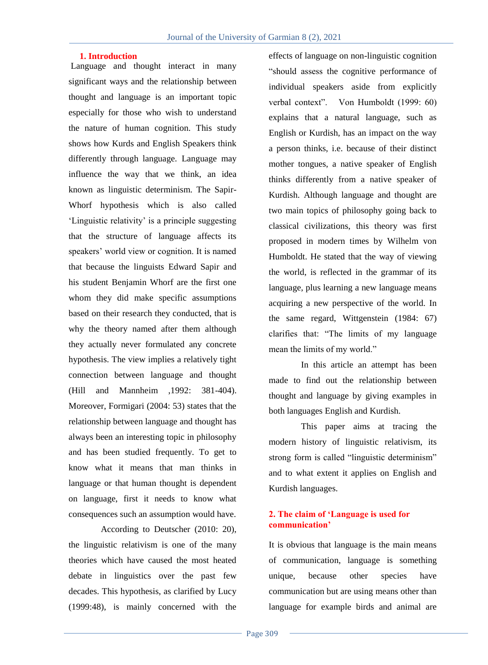### **1. Introduction**

Language and thought interact in many significant ways and the relationship between thought and language is an important topic especially for those who wish to understand the nature of human cognition. This study shows how Kurds and English Speakers think differently through language. Language may influence the way that we think, an idea known as linguistic determinism. The Sapir-Whorf hypothesis which is also called 'Linguistic relativity' is a principle suggesting that the structure of language affects its speakers' world view or cognition. It is named that because the linguists Edward Sapir and his student Benjamin Whorf are the first one whom they did make specific assumptions based on their research they conducted, that is why the theory named after them although they actually never formulated any concrete hypothesis. The view implies a relatively tight connection between language and thought (Hill and Mannheim ,1992: 381-404). Moreover, Formigari (2004: 53) states that the relationship between language and thought has always been an interesting topic in philosophy and has been studied frequently. To get to know what it means that man thinks in language or that human thought is dependent on language, first it needs to know what consequences such an assumption would have.

According to Deutscher (2010: 20), the linguistic relativism is one of the many theories which have caused the most heated debate in linguistics over the past few decades. This hypothesis, as clarified by Lucy (1999:48), is mainly concerned with the effects of language on non-linguistic cognition "should assess the cognitive performance of individual speakers aside from explicitly verbal context". Von Humboldt (1999: 60) explains that a natural language, such as English or Kurdish, has an impact on the way a person thinks, i.e. because of their distinct mother tongues, a native speaker of English thinks differently from a native speaker of Kurdish. Although language and thought are two main topics of philosophy going back to classical civilizations, this theory was first proposed in modern times by Wilhelm von Humboldt. He stated that the way of viewing the world, is reflected in the grammar of its language, plus learning a new language means acquiring a new perspective of the world. In the same regard, Wittgenstein (1984: 67) clarifies that: "The limits of my language mean the limits of my world."

In this article an attempt has been made to find out the relationship between thought and language by giving examples in both languages English and Kurdish.

This paper aims at tracing the modern history of linguistic relativism, its strong form is called "linguistic determinism" and to what extent it applies on English and Kurdish languages.

### **2. The claim of 'Language is used for communication'**

It is obvious that language is the main means of communication, language is something unique, because other species have communication but are using means other than language for example birds and animal are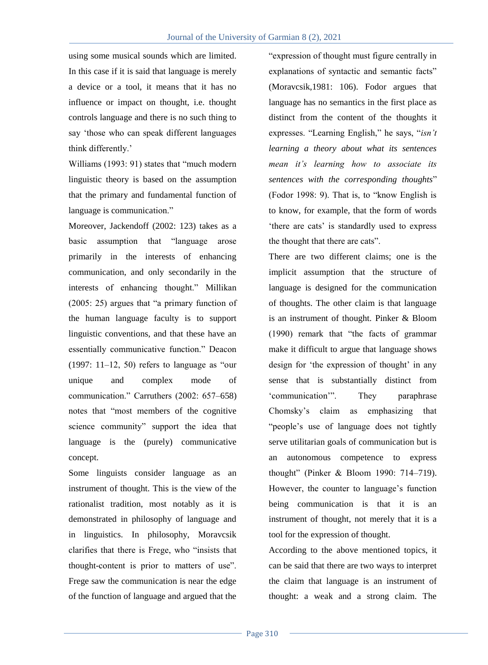using some musical sounds which are limited. In this case if it is said that language is merely a device or a tool, it means that it has no influence or impact on thought, i.e. thought controls language and there is no such thing to say "those who can speak different languages think differently."

Williams (1993: 91) states that "much modern linguistic theory is based on the assumption that the primary and fundamental function of language is communication."

Moreover, Jackendoff (2002: 123) takes as a basic assumption that "language arose primarily in the interests of enhancing communication, and only secondarily in the interests of enhancing thought." Millikan (2005: 25) argues that "a primary function of the human language faculty is to support linguistic conventions, and that these have an essentially communicative function." Deacon  $(1997: 11–12, 50)$  refers to language as "our unique and complex mode of communication." Carruthers (2002: 657–658) notes that "most members of the cognitive science community" support the idea that language is the (purely) communicative concept.

Some linguists consider language as an instrument of thought. This is the view of the rationalist tradition, most notably as it is demonstrated in philosophy of language and in linguistics. In philosophy, Moravcsik clarifies that there is Frege, who "insists that thought-content is prior to matters of use". Frege saw the communication is near the edge of the function of language and argued that the

"expression of thought must figure centrally in explanations of syntactic and semantic facts" (Moravcsik,1981: 106). Fodor argues that language has no semantics in the first place as distinct from the content of the thoughts it expresses. "Learning English," he says, "*isn't learning a theory about what its sentences mean it's learning how to associate its sentences with the corresponding thoughts*" (Fodor 1998: 9). That is, to "know English is to know, for example, that the form of words "there are cats" is standardly used to express the thought that there are cats".

There are two different claims; one is the implicit assumption that the structure of language is designed for the communication of thoughts. The other claim is that language is an instrument of thought. Pinker & Bloom (1990) remark that "the facts of grammar make it difficult to argue that language shows design for 'the expression of thought' in any sense that is substantially distinct from "communication"". They paraphrase Chomsky"s claim as emphasizing that "people's use of language does not tightly serve utilitarian goals of communication but is an autonomous competence to express thought" (Pinker & Bloom 1990: 714–719). However, the counter to language's function being communication is that it is an instrument of thought, not merely that it is a tool for the expression of thought.

According to the above mentioned topics, it can be said that there are two ways to interpret the claim that language is an instrument of thought: a weak and a strong claim. The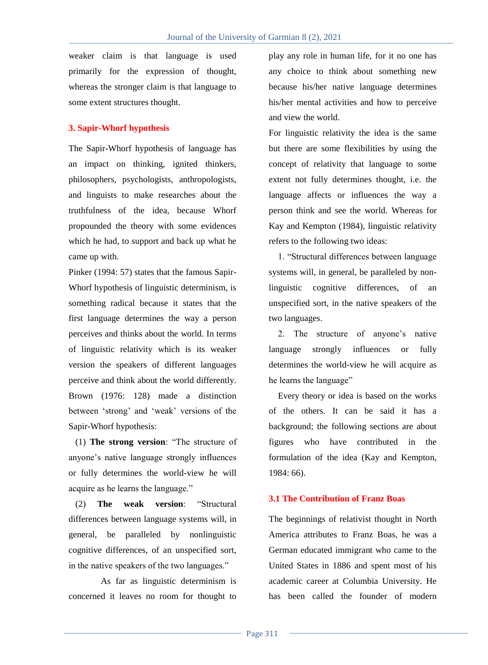weaker claim is that language is used primarily for the expression of thought, whereas the stronger claim is that language to some extent structures thought.

## **3. Sapir-Whorf hypothesis**

The Sapir-Whorf hypothesis of language has an impact on thinking, ignited thinkers, philosophers, psychologists, anthropologists, and linguists to make researches about the truthfulness of the idea, because Whorf propounded the theory with some evidences which he had, to support and back up what he came up with.

Pinker (1994: 57) states that the famous Sapir-Whorf hypothesis of linguistic determinism, is something radical because it states that the first language determines the way a person perceives and thinks about the world. In terms of linguistic relativity which is its weaker version the speakers of different languages perceive and think about the world differently. Brown (1976: 128) made a distinction between "strong" and "weak" versions of the Sapir-Whorf hypothesis:

 (1) **The strong version**: "The structure of anyone"s native language strongly influences or fully determines the world-view he will acquire as he learns the language."

 (2) **The weak version**: "Structural differences between language systems will, in general, be paralleled by nonlinguistic cognitive differences, of an unspecified sort, in the native speakers of the two languages."

As far as linguistic determinism is concerned it leaves no room for thought to

play any role in human life, for it no one has any choice to think about something new because his/her native language determines his/her mental activities and how to perceive and view the world.

For linguistic relativity the idea is the same but there are some flexibilities by using the concept of relativity that language to some extent not fully determines thought, i.e. the language affects or influences the way a person think and see the world. Whereas for Kay and Kempton (1984), linguistic relativity refers to the following two ideas:

1. "Structural differences between language systems will, in general, be paralleled by nonlinguistic cognitive differences, of an unspecified sort, in the native speakers of the two languages.

2. The structure of anyone"s native language strongly influences or fully determines the world-view he will acquire as he learns the language"

Every theory or idea is based on the works of the others. It can be said it has a background; the following sections are about figures who have contributed in the formulation of the idea (Kay and Kempton, 1984: 66).

## **3.1 The Contribution of Franz Boas**

The beginnings of relativist thought in North America attributes to Franz Boas, he was a German educated immigrant who came to the United States in 1886 and spent most of his academic career at Columbia University. He has been called the founder of modern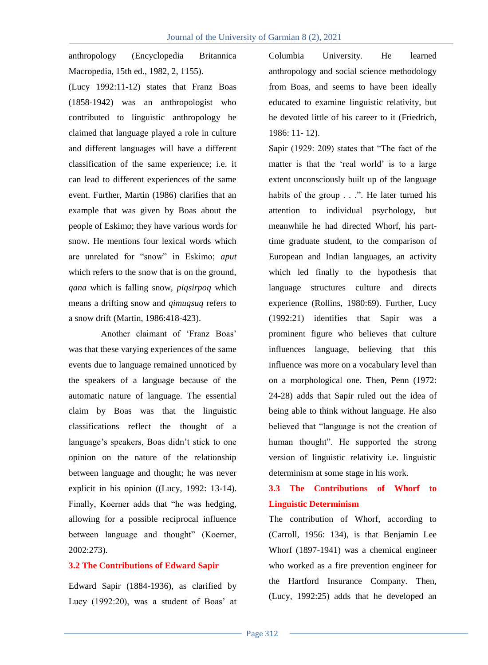anthropology (Encyclopedia Britannica Macropedia, 15th ed., 1982, 2, 1155).

(Lucy 1992:11-12) states that Franz Boas (1858-1942) was an anthropologist who contributed to linguistic anthropology he claimed that language played a role in culture and different languages will have a different classification of the same experience; i.e. it can lead to different experiences of the same event. Further, Martin (1986) clarifies that an example that was given by Boas about the people of Eskimo; they have various words for snow. He mentions four lexical words which are unrelated for "snow" in Eskimo; *aput* which refers to the snow that is on the ground, *qana* which is falling snow, *piqsirpoq* which means a drifting snow and *qimuqsuq* refers to a snow drift (Martin, 1986:418-423).

Another claimant of "Franz Boas" was that these varying experiences of the same events due to language remained unnoticed by the speakers of a language because of the automatic nature of language. The essential claim by Boas was that the linguistic classifications reflect the thought of a language's speakers, Boas didn't stick to one opinion on the nature of the relationship between language and thought; he was never explicit in his opinion ((Lucy, 1992: 13-14). Finally, Koerner adds that "he was hedging, allowing for a possible reciprocal influence between language and thought" (Koerner, 2002:273).

## **3.2 The Contributions of Edward Sapir**

Edward Sapir (1884-1936), as clarified by Lucy  $(1992:20)$ , was a student of Boas' at Columbia University. He learned anthropology and social science methodology from Boas, and seems to have been ideally educated to examine linguistic relativity, but he devoted little of his career to it (Friedrich, 1986: 11- 12).

Sapir (1929: 209) states that "The fact of the matter is that the 'real world' is to a large extent unconsciously built up of the language habits of the group . . .". He later turned his attention to individual psychology, but meanwhile he had directed Whorf, his parttime graduate student, to the comparison of European and Indian languages, an activity which led finally to the hypothesis that language structures culture and directs experience (Rollins, 1980:69). Further, Lucy (1992:21) identifies that Sapir was a prominent figure who believes that culture influences language, believing that this influence was more on a vocabulary level than on a morphological one. Then, Penn (1972: 24-28) adds that Sapir ruled out the idea of being able to think without language. He also believed that "language is not the creation of human thought". He supported the strong version of linguistic relativity i.e. linguistic determinism at some stage in his work.

# **3.3 The Contributions of Whorf to Linguistic Determinism**

The contribution of Whorf, according to (Carroll, 1956: 134), is that Benjamin Lee Whorf (1897-1941) was a chemical engineer who worked as a fire prevention engineer for the Hartford Insurance Company. Then, (Lucy, 1992:25) adds that he developed an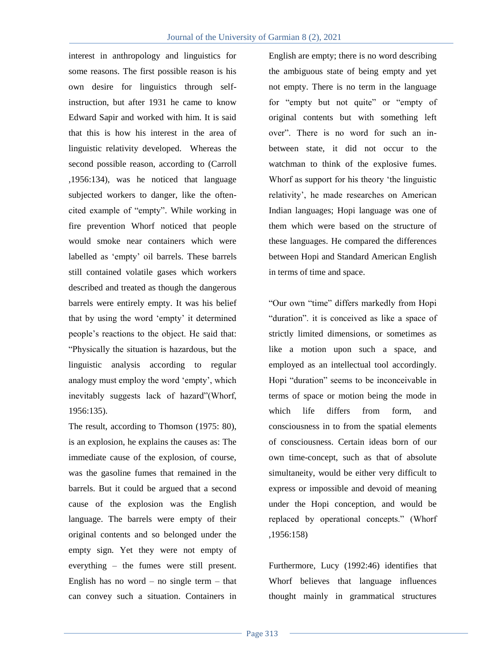interest in anthropology and linguistics for some reasons. The first possible reason is his own desire for linguistics through selfinstruction, but after 1931 he came to know Edward Sapir and worked with him. It is said that this is how his interest in the area of linguistic relativity developed. Whereas the second possible reason, according to (Carroll ,1956:134), was he noticed that language subjected workers to danger, like the oftencited example of "empty". While working in fire prevention Whorf noticed that people would smoke near containers which were labelled as 'empty' oil barrels. These barrels still contained volatile gases which workers described and treated as though the dangerous barrels were entirely empty. It was his belief that by using the word "empty" it determined people"s reactions to the object. He said that: "Physically the situation is hazardous, but the linguistic analysis according to regular analogy must employ the word "empty", which inevitably suggests lack of hazard"(Whorf, 1956:135).

The result, according to Thomson (1975: 80), is an explosion, he explains the causes as: The immediate cause of the explosion, of course, was the gasoline fumes that remained in the barrels. But it could be argued that a second cause of the explosion was the English language. The barrels were empty of their original contents and so belonged under the empty sign. Yet they were not empty of everything – the fumes were still present. English has no word – no single term – that can convey such a situation. Containers in

English are empty; there is no word describing the ambiguous state of being empty and yet not empty. There is no term in the language for "empty but not quite" or "empty of original contents but with something left over". There is no word for such an inbetween state, it did not occur to the watchman to think of the explosive fumes. Whorf as support for his theory "the linguistic relativity", he made researches on American Indian languages; Hopi language was one of them which were based on the structure of these languages. He compared the differences between Hopi and Standard American English in terms of time and space.

"Our own "time" differs markedly from Hopi "duration". it is conceived as like a space of strictly limited dimensions, or sometimes as like a motion upon such a space, and employed as an intellectual tool accordingly. Hopi "duration" seems to be inconceivable in terms of space or motion being the mode in which life differs from form, and consciousness in to from the spatial elements of consciousness. Certain ideas born of our own time-concept, such as that of absolute simultaneity, would be either very difficult to express or impossible and devoid of meaning under the Hopi conception, and would be replaced by operational concepts." (Whorf ,1956:158)

Furthermore, Lucy (1992:46) identifies that Whorf believes that language influences thought mainly in grammatical structures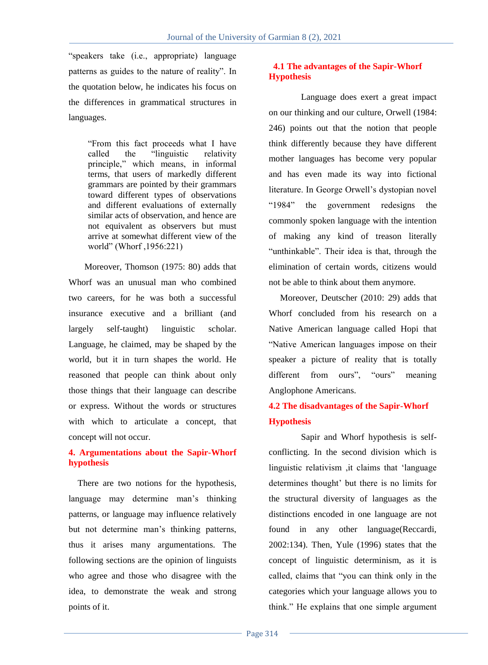"speakers take (i.e., appropriate) language patterns as guides to the nature of reality". In the quotation below, he indicates his focus on the differences in grammatical structures in languages.

> "From this fact proceeds what I have called the "linguistic relativity principle," which means, in informal terms, that users of markedly different grammars are pointed by their grammars toward different types of observations and different evaluations of externally similar acts of observation, and hence are not equivalent as observers but must arrive at somewhat different view of the world" (Whorf ,1956:221)

 Moreover, Thomson (1975: 80) adds that Whorf was an unusual man who combined two careers, for he was both a successful insurance executive and a brilliant (and largely self-taught) linguistic scholar. Language, he claimed, may be shaped by the world, but it in turn shapes the world. He reasoned that people can think about only those things that their language can describe or express. Without the words or structures with which to articulate a concept, that concept will not occur.

# **4. Argumentations about the Sapir-Whorf hypothesis**

There are two notions for the hypothesis, language may determine man's thinking patterns, or language may influence relatively but not determine man"s thinking patterns, thus it arises many argumentations. The following sections are the opinion of linguists who agree and those who disagree with the idea, to demonstrate the weak and strong points of it.

# **4.1 The advantages of the Sapir-Whorf Hypothesis**

Language does exert a great impact on our thinking and our culture, Orwell (1984: 246) points out that the notion that people think differently because they have different mother languages has become very popular and has even made its way into fictional literature. In George Orwell"s dystopian novel "1984" the government redesigns the commonly spoken language with the intention of making any kind of treason literally "unthinkable". Their idea is that, through the elimination of certain words, citizens would not be able to think about them anymore.

 Moreover, Deutscher (2010: 29) adds that Whorf concluded from his research on a Native American language called Hopi that "Native American languages impose on their speaker a picture of reality that is totally different from ours", "ours" meaning Anglophone Americans.

# **4.2 The disadvantages of the Sapir-Whorf Hypothesis**

Sapir and Whorf hypothesis is selfconflicting. In the second division which is linguistic relativism ,it claims that "language determines thought" but there is no limits for the structural diversity of languages as the distinctions encoded in one language are not found in any other language(Reccardi, 2002:134). Then, Yule (1996) states that the concept of linguistic determinism, as it is called, claims that "you can think only in the categories which your language allows you to think." He explains that one simple argument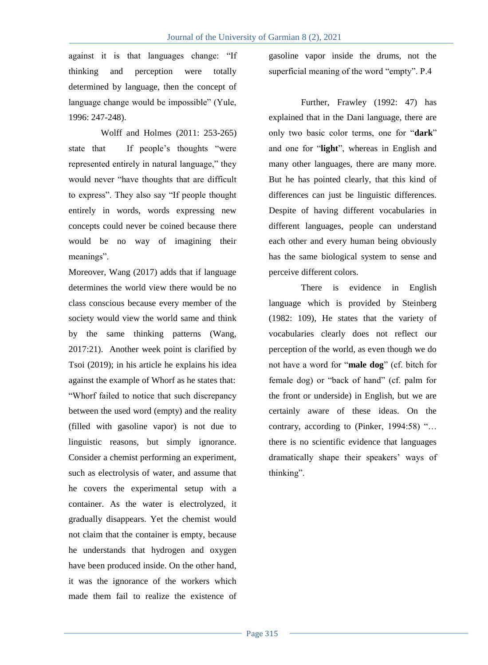against it is that languages change: "If thinking and perception were totally determined by language, then the concept of language change would be impossible" (Yule, 1996: 247-248).

Wolff and Holmes (2011: 253-265) state that If people's thoughts "were represented entirely in natural language," they would never "have thoughts that are difficult to express". They also say "If people thought entirely in words, words expressing new concepts could never be coined because there would be no way of imagining their meanings".

Moreover, Wang (2017) adds that if language determines the world view there would be no class conscious because every member of the society would view the world same and think by the same thinking patterns (Wang, 2017:21). Another week point is clarified by Tsoi (2019); in his article he explains his idea against the example of Whorf as he states that: "Whorf failed to notice that such discrepancy between the used word (empty) and the reality (filled with gasoline vapor) is not due to linguistic reasons, but simply ignorance. Consider a chemist performing an experiment, such as electrolysis of water, and assume that he covers the experimental setup with a container. As the water is electrolyzed, it gradually disappears. Yet the chemist would not claim that the container is empty, because he understands that hydrogen and oxygen have been produced inside. On the other hand, it was the ignorance of the workers which made them fail to realize the existence of gasoline vapor inside the drums, not the superficial meaning of the word "empty". P.4

Further, Frawley (1992: 47) has explained that in the Dani language, there are only two basic color terms, one for "**dark**" and one for "**light**", whereas in English and many other languages, there are many more. But he has pointed clearly, that this kind of differences can just be linguistic differences. Despite of having different vocabularies in different languages, people can understand each other and every human being obviously has the same biological system to sense and perceive different colors.

There is evidence in English language which is provided by Steinberg (1982: 109), He states that the variety of vocabularies clearly does not reflect our perception of the world, as even though we do not have a word for "**male dog**" (cf. bitch for female dog) or "back of hand" (cf. palm for the front or underside) in English, but we are certainly aware of these ideas. On the contrary, according to (Pinker, 1994:58) "… there is no scientific evidence that languages dramatically shape their speakers" ways of thinking".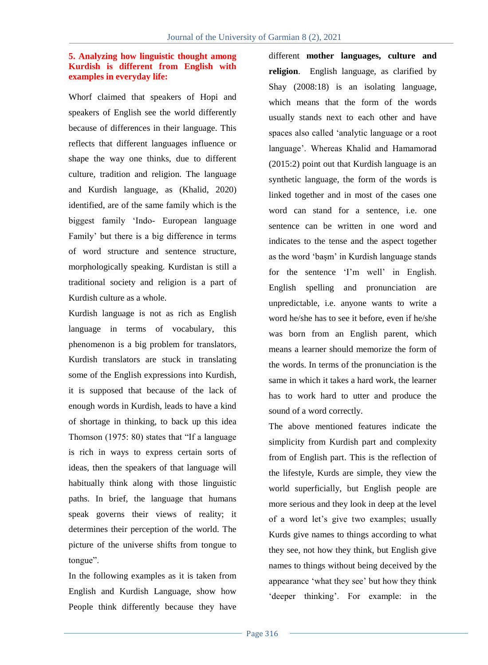# **5. Analyzing how linguistic thought among Kurdish is different from English with examples in everyday life:**

Whorf claimed that speakers of Hopi and speakers of English see the world differently because of differences in their language. This reflects that different languages influence or shape the way one thinks, due to different culture, tradition and religion. The language and Kurdish language, as (Khalid, 2020) identified, are of the same family which is the biggest family "Indo- European language Family" but there is a big difference in terms of word structure and sentence structure, morphologically speaking. Kurdistan is still a traditional society and religion is a part of Kurdish culture as a whole.

Kurdish language is not as rich as English language in terms of vocabulary, this phenomenon is a big problem for translators, Kurdish translators are stuck in translating some of the English expressions into Kurdish, it is supposed that because of the lack of enough words in Kurdish, leads to have a kind of shortage in thinking, to back up this idea Thomson (1975: 80) states that "If a language is rich in ways to express certain sorts of ideas, then the speakers of that language will habitually think along with those linguistic paths. In brief, the language that humans speak governs their views of reality; it determines their perception of the world. The picture of the universe shifts from tongue to tongue".

In the following examples as it is taken from English and Kurdish Language, show how People think differently because they have

different **mother languages, culture and religion**. English language, as clarified by Shay (2008:18) is an isolating language, which means that the form of the words usually stands next to each other and have spaces also called "analytic language or a root language". Whereas Khalid and Hamamorad (2015:2) point out that Kurdish language is an synthetic language, the form of the words is linked together and in most of the cases one word can stand for a sentence, i.e. one sentence can be written in one word and indicates to the tense and the aspect together as the word "başm" in Kurdish language stands for the sentence 'I'm well' in English. English spelling and pronunciation are unpredictable, i.e. anyone wants to write a word he/she has to see it before, even if he/she was born from an English parent, which means a learner should memorize the form of the words. In terms of the pronunciation is the same in which it takes a hard work, the learner has to work hard to utter and produce the sound of a word correctly.

The above mentioned features indicate the simplicity from Kurdish part and complexity from of English part. This is the reflection of the lifestyle, Kurds are simple, they view the world superficially, but English people are more serious and they look in deep at the level of a word let"s give two examples; usually Kurds give names to things according to what they see, not how they think, but English give names to things without being deceived by the appearance "what they see" but how they think 'deeper thinking'. For example: in the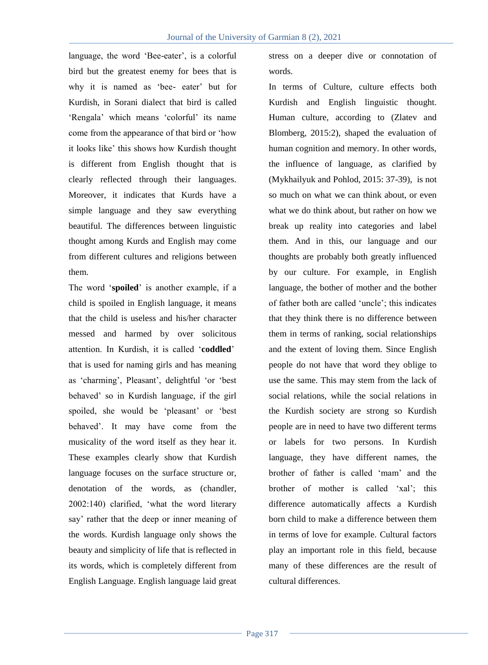language, the word 'Bee-eater', is a colorful bird but the greatest enemy for bees that is why it is named as 'bee- eater' but for Kurdish, in Sorani dialect that bird is called 'Rengala' which means 'colorful' its name come from the appearance of that bird or "how it looks like" this shows how Kurdish thought is different from English thought that is clearly reflected through their languages. Moreover, it indicates that Kurds have a simple language and they saw everything beautiful. The differences between linguistic thought among Kurds and English may come from different cultures and religions between them.

The word "**spoiled**" is another example, if a child is spoiled in English language, it means that the child is useless and his/her character messed and harmed by over solicitous attention. In Kurdish, it is called "**coddled**" that is used for naming girls and has meaning as 'charming', Pleasant', delightful 'or 'best behaved" so in Kurdish language, if the girl spoiled, she would be 'pleasant' or 'best behaved". It may have come from the musicality of the word itself as they hear it. These examples clearly show that Kurdish language focuses on the surface structure or, denotation of the words, as (chandler, 2002:140) clarified, "what the word literary say' rather that the deep or inner meaning of the words. Kurdish language only shows the beauty and simplicity of life that is reflected in its words, which is completely different from English Language. English language laid great

stress on a deeper dive or connotation of words.

In terms of Culture, culture effects both Kurdish and English linguistic thought. Human culture, according to (Zlatev and Blomberg, 2015:2), shaped the evaluation of human cognition and memory. In other words, the influence of language, as clarified by (Mykhailyuk and Pohlod, 2015: 37-39), is not so much on what we can think about, or even what we do think about, but rather on how we break up reality into categories and label them. And in this, our language and our thoughts are probably both greatly influenced by our culture. For example, in English language, the bother of mother and the bother of father both are called "uncle"; this indicates that they think there is no difference between them in terms of ranking, social relationships and the extent of loving them. Since English people do not have that word they oblige to use the same. This may stem from the lack of social relations, while the social relations in the Kurdish society are strong so Kurdish people are in need to have two different terms or labels for two persons. In Kurdish language, they have different names, the brother of father is called "mam" and the brother of mother is called "xal"; this difference automatically affects a Kurdish born child to make a difference between them in terms of love for example. Cultural factors play an important role in this field, because many of these differences are the result of cultural differences.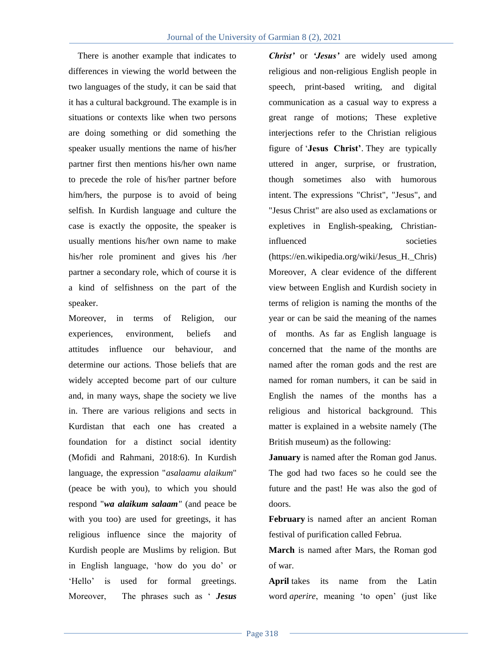There is another example that indicates to differences in viewing the world between the two languages of the study, it can be said that it has a cultural background. The example is in situations or contexts like when two persons are doing something or did something the speaker usually mentions the name of his/her partner first then mentions his/her own name to precede the role of his/her partner before him/hers, the purpose is to avoid of being selfish. In Kurdish language and culture the case is exactly the opposite, the speaker is usually mentions his/her own name to make his/her role prominent and gives his /her partner a secondary role, which of course it is a kind of selfishness on the part of the speaker.

Moreover, in terms of Religion, our experiences, environment, beliefs and attitudes influence our behaviour, and determine our actions. Those beliefs that are widely accepted become part of our culture and, in many ways, shape the society we live in. There are various religions and sects in Kurdistan that each one has created a foundation for a distinct social identity (Mofidi and Rahmani, 2018:6). In Kurdish language, the expression "*asalaamu alaikum*" (peace be with you), to which you should respond "*wa alaikum salaam"* (and peace be with you too) are used for greetings, it has religious influence since the majority of Kurdish people are Muslims by religion. But in English language, "how do you do" or 'Hello' is used for formal greetings. Moreover, The phrases such as " *Jesus* 

*Christ'* or *'Jesus'* are widely used among religious and non-religious English people in speech, print-based writing, and digital communication as a casual way to express a great range of motions; These expletive interjections refer to the Christian religious figure of "**Jesus Christ'**. They are typically uttered in anger, surprise, or frustration, though sometimes also with humorous intent. The expressions "Christ", "Jesus", and "Jesus Christ" are also used as exclamations or expletives in English-speaking, Christianinfluenced societies (https://en.wikipedia.org/wiki/Jesus\_H.\_Chris) Moreover, A clear evidence of the different view between English and Kurdish society in terms of religion is naming the months of the year or can be said the meaning of the names of months. As far as English language is concerned that the name of the months are named after the roman gods and the rest are named for roman numbers, it can be said in English the names of the months has a religious and historical background. This matter is explained in a website namely (The British museum) as the following:

**January** is named after the Roman god Janus. The god had two faces so he could see the future and the past! He was also the god of doors.

**February** is named after an ancient Roman festival of purification called Februa.

**March** is named after Mars, the Roman god of war.

**April** takes its name from the Latin word *aperire*, meaning "to open" (just like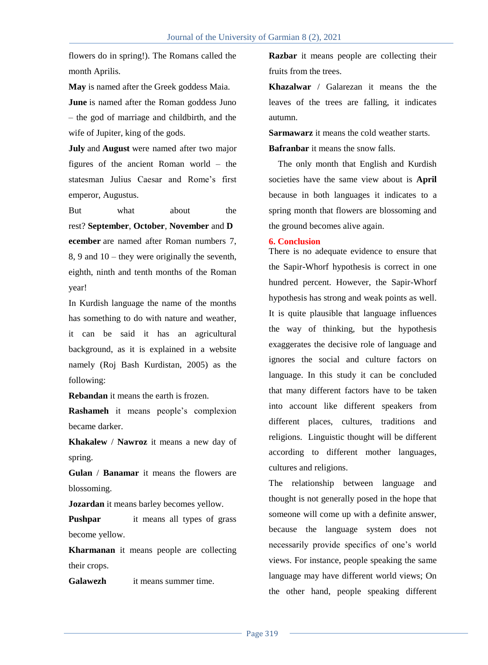flowers do in spring!). The Romans called the month Aprilis.

**May** is named after the Greek goddess Maia.

**June** is named after the Roman goddess Juno – the god of marriage and childbirth, and the wife of Jupiter, king of the gods.

**July** and **August** were named after two major figures of the ancient Roman world – the statesman Julius Caesar and Rome"s first emperor, Augustus.

But what about the rest? **September**, **October**, **November** and **D ecember** are named after Roman numbers 7, 8, 9 and 10 – they were originally the seventh, eighth, ninth and tenth months of the Roman year!

In Kurdish language the name of the months has something to do with nature and weather, it can be said it has an agricultural background, as it is explained in a website namely (Roj Bash Kurdistan, 2005) as the following:

**Rebandan** it means the earth is frozen.

**Rashameh** it means people"s complexion became darker.

**Khakalew** / **Nawroz** it means a new day of spring.

**Gulan** / **Banamar** it means the flowers are blossoming.

**Jozardan** it means barley becomes yellow.

**Pushpar** it means all types of grass become yellow.

**Kharmanan** it means people are collecting their crops.

**Galawezh** it means summer time.

**Razbar** it means people are collecting their fruits from the trees.

**Khazalwar** / Galarezan it means the the leaves of the trees are falling, it indicates autumn.

**Sarmawarz** it means the cold weather starts.

**Bafranbar** it means the snow falls.

The only month that English and Kurdish societies have the same view about is **April** because in both languages it indicates to a spring month that flowers are blossoming and the ground becomes alive again.

## **6. Conclusion**

There is no adequate evidence to ensure that the Sapir-Whorf hypothesis is correct in one hundred percent. However, the Sapir-Whorf hypothesis has strong and weak points as well. It is quite plausible that language influences the way of thinking, but the hypothesis exaggerates the decisive role of language and ignores the social and culture factors on language. In this study it can be concluded that many different factors have to be taken into account like different speakers from different places, cultures, traditions and religions. Linguistic thought will be different according to different mother languages, cultures and religions.

The relationship between language and thought is not generally posed in the hope that someone will come up with a definite answer, because the language system does not necessarily provide specifics of one"s world views. For instance, people speaking the same language may have different world views; On the other hand, people speaking different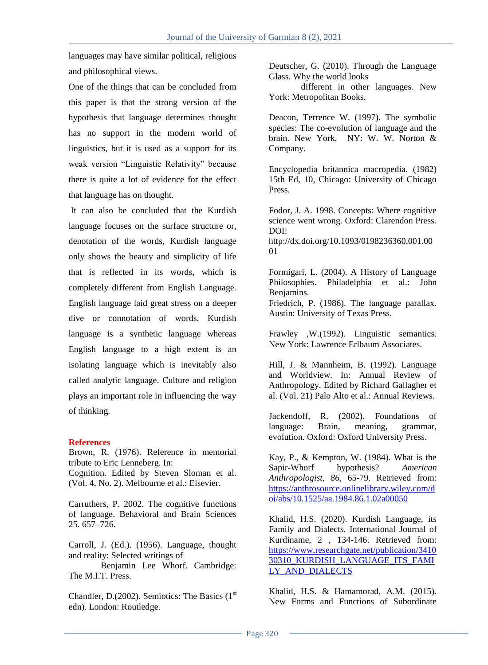languages may have similar political, religious and philosophical views.

One of the things that can be concluded from this paper is that the strong version of the hypothesis that language determines thought has no support in the modern world of linguistics, but it is used as a support for its weak version "Linguistic Relativity" because there is quite a lot of evidence for the effect that language has on thought.

It can also be concluded that the Kurdish language focuses on the surface structure or, denotation of the words, Kurdish language only shows the beauty and simplicity of life that is reflected in its words, which is completely different from English Language. English language laid great stress on a deeper dive or connotation of words. Kurdish language is a synthetic language whereas English language to a high extent is an isolating language which is inevitably also called analytic language. Culture and religion plays an important role in influencing the way of thinking.

### **References**

Brown, R. (1976). Reference in memorial tribute to Eric Lenneberg. In: Cognition. Edited by Steven Sloman et al. (Vol. 4, No. 2). Melbourne et al.: Elsevier.

Carruthers, P. 2002. The cognitive functions of language. Behavioral and Brain Sciences 25. 657–726.

Carroll, J. (Ed.). (1956). Language, thought and reality: Selected writings of

Benjamin Lee Whorf. Cambridge: The M.I.T. Press.

Chandler, D.(2002). Semiotics: The Basics  $(1<sup>st</sup>$ edn). London: Routledge.

Deutscher, G. (2010). Through the Language Glass. Why the world looks

different in other languages. New York: Metropolitan Books.

Deacon, Terrence W. (1997). The symbolic species: The co-evolution of language and the brain. New York, NY: W. W. Norton & Company.

Encyclopedia britannica macropedia. (1982) 15th Ed, 10, Chicago: University of Chicago Press.

Fodor, J. A. 1998. Concepts: Where cognitive science went wrong. Oxford: Clarendon Press. DOI:

http://dx.doi.org/10.1093/0198236360.001.00 01

Formigari, L. (2004). A History of Language Philosophies. Philadelphia et al.: John Benjamins.

Friedrich, P. (1986). The language parallax. Austin: University of Texas Press.

Frawley ,W.(1992). Linguistic semantics. New York: Lawrence Erlbaum Associates.

Hill, J. & Mannheim, B. (1992). Language and Worldview. In: Annual Review of Anthropology. Edited by Richard Gallagher et al. (Vol. 21) Palo Alto et al.: Annual Reviews.

Jackendoff, R. (2002). Foundations of language: Brain, meaning, grammar, evolution. Oxford: Oxford University Press.

Kay, P., & Kempton, W. (1984). What is the Sapir-Whorf hypothesis? *American Anthropologist, 86*, 65-79. Retrieved from: [https://anthrosource.onlinelibrary.wiley.com/d](https://anthrosource.onlinelibrary.wiley.com/doi/abs/10.1525/aa.1984.86.1.02a00050) [oi/abs/10.1525/aa.1984.86.1.02a00050](https://anthrosource.onlinelibrary.wiley.com/doi/abs/10.1525/aa.1984.86.1.02a00050)

Khalid, H.S. (2020). Kurdish Language, its Family and Dialects. International Journal of Kurdiname, 2 , 134-146. Retrieved from: [https://www.researchgate.net/publication/3410](https://www.researchgate.net/publication/341030310_KURDISH_LANGUAGE_ITS_FAMILY_AND_DIALECTS) [30310\\_KURDISH\\_LANGUAGE\\_ITS\\_FAMI](https://www.researchgate.net/publication/341030310_KURDISH_LANGUAGE_ITS_FAMILY_AND_DIALECTS) LY AND DIALECTS

Khalid, H.S. & Hamamorad, A.M. (2015). New Forms and Functions of Subordinate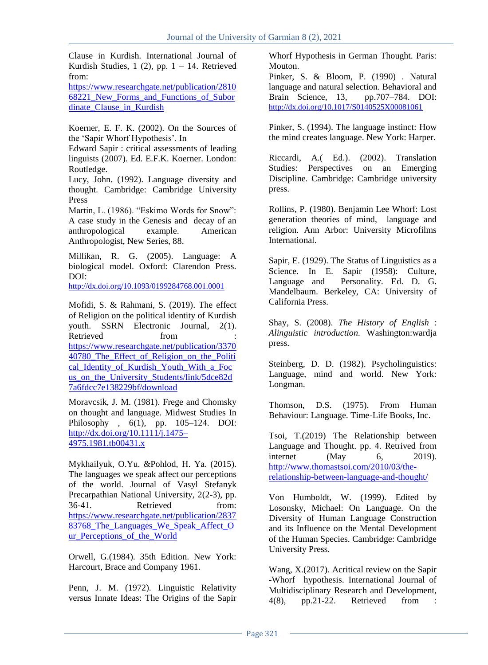Clause in Kurdish. International Journal of Kurdish Studies,  $1(2)$ , pp.  $1 - 14$ . Retrieved from:

[https://www.researchgate.net/publication/2810](https://www.researchgate.net/publication/281068221_New_Forms_and_Functions_of_Subordinate_Clause_in_Kurdish) 68221 New Forms and Functions of Subor dinate Clause in Kurdish

Koerner, E. F. K. (2002). On the Sources of the "Sapir Whorf Hypothesis". In

Edward Sapir : critical assessments of leading linguists (2007). Ed. E.F.K. Koerner. London: Routledge.

Lucy, John. (1992). Language diversity and thought. Cambridge: Cambridge University Press

Martin, L. (1986). "Eskimo Words for Snow": A case study in the Genesis and decay of an anthropological example. American Anthropologist, New Series, 88.

Millikan, R. G. (2005). Language: A biological model. Oxford: Clarendon Press. DOI:

<http://dx.doi.org/10.1093/0199284768.001.0001>

Mofidi, S. & Rahmani, S. (2019). The effect of Religion on the political identity of Kurdish youth. [SSRN Electronic Journal,](https://www.researchgate.net/journal/1556-5068_SSRN_Electronic_Journal) 2(1). Retrieved from [https://www.researchgate.net/publication/3370](https://www.researchgate.net/publication/337040780_The_Effect_of_Religion_on_the_Political_Identity_of_Kurdish_Youth_With_a_Focus_on_the_University_Students/link/5dce82d7a6fdcc7e138229bf/download) [40780\\_The\\_Effect\\_of\\_Religion\\_on\\_the\\_Politi](https://www.researchgate.net/publication/337040780_The_Effect_of_Religion_on_the_Political_Identity_of_Kurdish_Youth_With_a_Focus_on_the_University_Students/link/5dce82d7a6fdcc7e138229bf/download) cal Identity of Kurdish Youth With a Foc [us\\_on\\_the\\_University\\_Students/link/5dce82d](https://www.researchgate.net/publication/337040780_The_Effect_of_Religion_on_the_Political_Identity_of_Kurdish_Youth_With_a_Focus_on_the_University_Students/link/5dce82d7a6fdcc7e138229bf/download) [7a6fdcc7e138229bf/download](https://www.researchgate.net/publication/337040780_The_Effect_of_Religion_on_the_Political_Identity_of_Kurdish_Youth_With_a_Focus_on_the_University_Students/link/5dce82d7a6fdcc7e138229bf/download)

Moravcsik, J. M. (1981). Frege and Chomsky on thought and language. Midwest Studies In Philosophy , 6(1), pp. 105–124. DOI: [http://dx.doi.org/10.1111/j.1475–](http://dx.doi.org/10.1111/j.1475–4975.1981.tb00431.x) [4975.1981.tb00431.x](http://dx.doi.org/10.1111/j.1475–4975.1981.tb00431.x)

Mykhailyuk, O.Yu. &Pohlod, H. Ya. (2015). The languages we speak affect our perceptions of the world. [Journal of Vasyl Stefanyk](https://www.researchgate.net/journal/Journal-of-Vasyl-Stefanyk-Precarpathian-National-University-2311-0155)  [Precarpathian National University,](https://www.researchgate.net/journal/Journal-of-Vasyl-Stefanyk-Precarpathian-National-University-2311-0155) 2(2-3), pp. 36-41. Retrieved from: [https://www.researchgate.net/publication/2837](https://www.researchgate.net/publication/283783768_The_Languages_We_Speak_Affect_Our_Perceptions_of_the_World) 83768 The Languages We Speak Affect O ur Perceptions of the World

Orwell, G.(1984). 35th Edition. New York: Harcourt, Brace and Company 1961.

Penn, J. M. (1972). Linguistic Relativity versus Innate Ideas: The Origins of the Sapir

Whorf Hypothesis in German Thought. Paris: Mouton.

Pinker, S. & Bloom, P. (1990) . Natural language and natural selection. Behavioral and Brain Science, 13, pp.707–784. DOI: <http://dx.doi.org/10.1017/S0140525X00081061>

Pinker, S. (1994). The language instinct: How the mind creates language. New York: Harper.

Riccardi, A.( Ed.). (2002). Translation Studies: Perspectives on an Emerging Discipline. Cambridge: Cambridge university press.

Rollins, P. (1980). Benjamin Lee Whorf: Lost generation theories of mind, language and religion. Ann Arbor: University Microfilms International.

Sapir, E. (1929). The Status of Linguistics as a Science. In E. Sapir (1958): Culture, Language and Personality. Ed. D. G. Mandelbaum. Berkeley, CA: University of California Press.

Shay, S. (2008). *The History of English* : *Alinguistic introduction.* Washington:wardja press.

Steinberg, D. D. (1982). Psycholinguistics: Language, mind and world. New York: Longman.

Thomson, D.S. (1975). From Human Behaviour: Language. Time-Life Books, Inc.

Tsoi, T.(2019) The Relationship between Language and Thought. pp. 4. Retrived from internet (May 6, 2019). [http://www.thomastsoi.com/2010/03/the](http://www.thomastsoi.com/2010/03/the-relationship-between-language-and-thought/)[relationship-between-language-and-thought/](http://www.thomastsoi.com/2010/03/the-relationship-between-language-and-thought/)

Von Humboldt, W. (1999). Edited by Losonsky, Michael: On Language. On the Diversity of Human Language Construction and its Influence on the Mental Development of the Human Species. Cambridge: Cambridge University Press.

Wang, X.(2017). Acritical review on the Sapir -Whorf hypothesis. International Journal of Multidisciplinary Research and Development, 4(8), pp.21-22. Retrieved from :